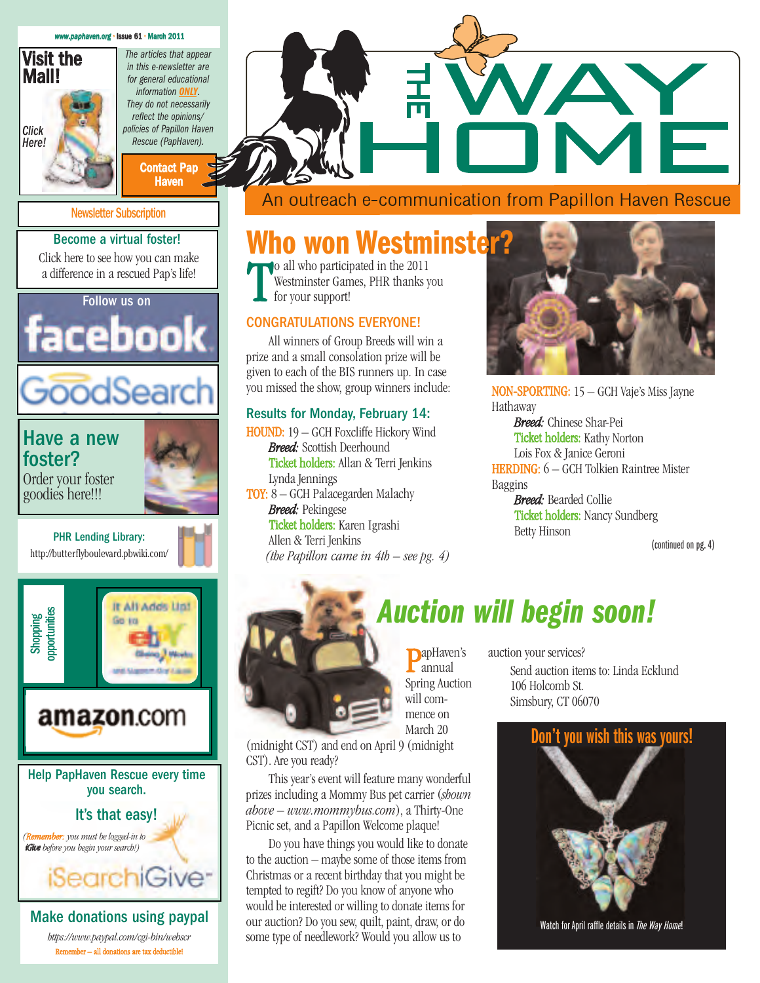#### *[www.paphaven.org](http://www.paphaveen.orgg)* • Issue 61 • March 2011



*Click Here!*

*in this e-newsletter are for general educational information ONLY. They do not necessarily reflect the opinions/ policies of Papillon Haven Rescue (PapHaven).*

*The articles that appear*

[Contact Pap](Mailto:jorolan@catc.net) **Haven** 

#### [Newsletter Subscription](Mailto:norajl169@yahoo.com)

#### Become a virtual foster!

[Click here to see how you can make](http://www.paphaven.org/vfoster.shtml) a difference in a rescued Pap's life!



goodies here!!!



PHR Lending Library: <http://butterflyboulevard.pbwiki.com/>





[Help PapHaven Rescue every time](http://www.igive.com/welcome/warmwelcome.cfm?c=25162) you search.

#### It's that easy!

*(Remember: you must be logged-in to iGive before you begin your search!)*

## **Who won Westminster?**

o all who participated in the 2011 Westminster Games, PHR thanks you for your support!

#### CONGRATULATIONS EVERYONE!

All winners of Group Breeds will win a prize and a small consolation prize will be given to each of the BIS runners up. In case you missed the show, group winners include:

#### Results for Monday, February 14:

HOUND: 19 – GCH Foxcliffe Hickory Wind *Breed:* Scottish Deerhound Ticket holders: Allan & Terri Jenkins Lynda Jennings TOY: 8 – GCH Palacegarden Malachy *Breed:* Pekingese Ticket holders: Karen Igrashi Allen & Terri Jenkins *(the Papillon came in 4th – see pg. 4)*



NON-SPORTING: 15 – GCH Vaje's Miss Jayne Hathaway

*Breed:* Chinese Shar-Pei Ticket holders: Kathy Norton Lois Fox & Janice Geroni HERDING: 6 – GCH Tolkien Raintree Mister Baggins *Breed:* Bearded Collie Ticket holders: Nancy Sundberg Betty Hinson

(continued on pg.4)



**PapHaven's** annual Spring Auction will commence on March 20

(midnight CST) and end on April 9 (midnight CST). Are you ready?

This year's event will feature many wonderful prizes including a Mommy Bus pet carrier (*shown above – www.mommybus.com*), a Thirty-One Picnic set, and a Papillon Welcome plaque!

Do you have things you would like to donate to the auction – maybe some of those items from Christmas or a recent birthday that you might be tempted to regift? Do you know of anyone who would be interested or willing to donate items for our auction? Do you sew, quilt, paint, draw, or do some type of needlework? Would you allow us to

# *Auction will begin soon!*

auction your services? Send auction items to: Linda Ecklund 106 Holcomb St. Simsbury, CT 06070



Watch for April raffle details in *The Way Home*!

*<https://www.paypal.com/cgi-bin/webscr>* Remember – all donations are tax deductible!

Make donations using paypal

iSearchiGive<sup>-</sup>

An outreach e-communication from Papillon Haven Rescue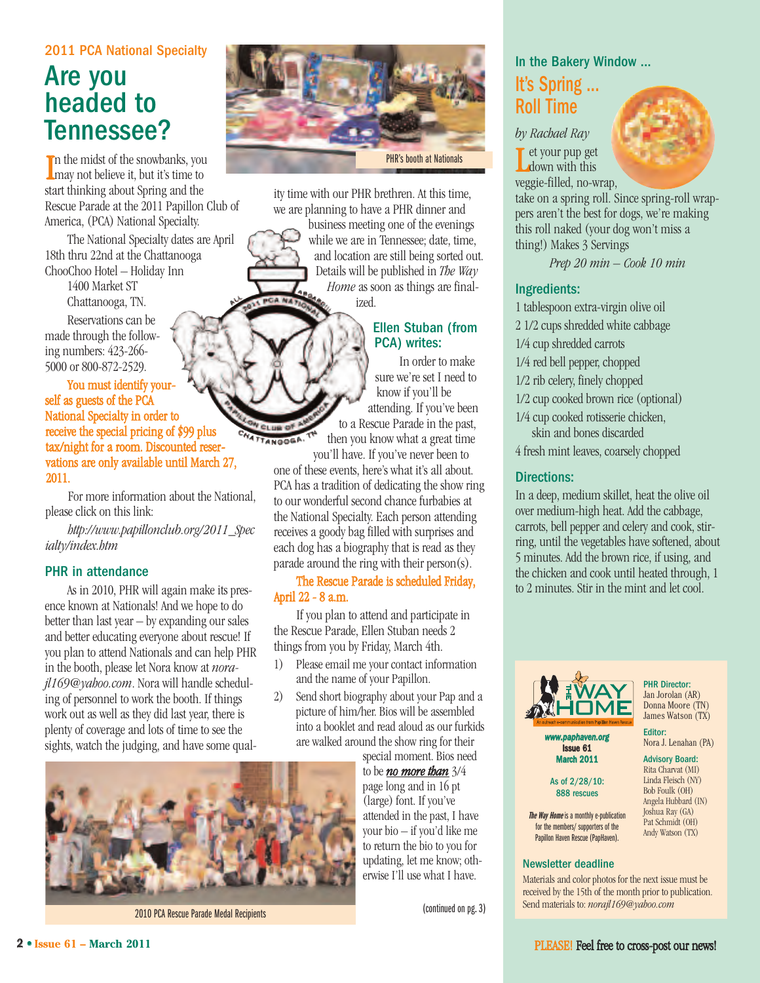#### 2011 PCA National Specialty

## Are you headed to Tennessee?

I n the midst of the snowbanks, you **L** may not believe it, but it's time to start thinking about Spring and the Rescue Parade at the 2011 Papillon Club of America, (PCA) National Specialty.

The National Specialty dates are April 18th thru 22nd at the Chattanooga ChooChoo Hotel – Holiday Inn

> 1400 Market ST Chattanooga, TN.

Reservations can be made through the following numbers: 423-266- 5000 or 800-872-2529.

You must identify yourself as guests of the PCA National Specialty in order to receive the special pricing of \$99 plus tax/night for a room. Discounted reservations are only available until March 27, 2011.

For more information about the National, please click on this link:

*[http://www.papillonclub.org/2011\\_Spec](http://www.papillonclub.org/2011_Specialty/index.htm) ialty/index.htm*

#### PHR in attendance

As in 2010, PHR will again make its presence known at Nationals! And we hope to do better than last year – by expanding our sales and better educating everyone about rescue! If you plan to attend Nationals and can help PHR [in the booth, please let Nora know at](mailto:norajl169@yahoo.com) *norajl169@yahoo.com*. Nora will handle scheduling of personnel to work the booth. If things work out as well as they did last year, there is plenty of coverage and lots of time to see the sights, watch the judging, and have some qual-



PHR's booth at Nationals

ity time with our PHR brethren. At this time, we are planning to have a PHR dinner and

> business meeting one of the evenings while we are in Tennessee; date, time, and location are still being sorted out. Details will be published in *The Way Home* as soon as things are finalized.

#### Ellen Stuban (from PCA) writes:

In order to make sure we're set I need to know if you'll be attending. If you've been to a Rescue Parade in the past, then you know what a great time

you'll have. If you've never been to one of these events, here's what it's all about. PCA has a tradition of dedicating the show ring to our wonderful second chance furbabies at the National Specialty. Each person attending receives a goody bag filled with surprises and each dog has a biography that is read as they parade around the ring with their person(s).

TTANGOGA

#### The Rescue Parade is scheduled Friday, April 22 - 8 a.m.

If you plan to attend and participate in the Rescue Parade, Ellen Stuban needs 2 things from you by Friday, March 4th.

- 1) Please email me your contact information and the name of your Papillon.
- 2) Send short biography about your Pap and a picture of him/her. Bios will be assembled into a booklet and read aloud as our furkids are walked around the show ring for their

special moment. Bios need to be *no more than* 3/4 page long and in 16 pt (large) font. If you've attended in the past, I have your bio – if you'd like me to return the bio to you for updating, let me know; otherwise I'll use what I have.

(continued on pg.3)

## In the Bakery Window ...

## It's Spring ... Roll Time

*by Rachael Ray* Let your pup get

**down** with this



veggie-filled, no-wrap, take on a spring roll. Since spring-roll wrappers aren't the best for dogs, we're making this roll naked (your dog won't miss a thing!) Makes 3 Servings

*Prep 20 min – Cook 10 min*

#### Ingredients:

- 1 tablespoon extra-virgin olive oil
- 2 1/2 cups shredded white cabbage
- 1/4 cup shredded carrots
- 1/4 red bell pepper, chopped
- 1/2 rib celery, finely chopped
- 1/2 cup cooked brown rice (optional)
- 1/4 cup cooked rotisserie chicken,
- skin and bones discarded 4 fresh mint leaves, coarsely chopped

#### Directions:

In a deep, medium skillet, heat the olive oil over medium-high heat. Add the cabbage, carrots, bell pepper and celery and cook, stirring, until the vegetables have softened, about 5 minutes. Add the brown rice, if using, and the chicken and cook until heated through, 1 to 2 minutes. Stir in the mint and let cool.



PHR Director: Jan Jorolan (AR) Donna Moore (TN) James Watson (TX)

Editor: Nora J. Lenahan (PA) *www.paphaven.org*  $s$ ue 61

Advisory Board: Rita Charvat (MI) Linda Fleisch (NY) h 2011 As of 2/28/10: 888 rescues

Bob Foulk (OH) Angela Hubbard (IN) Joshua Ray (GA) Pat Schmidt (OH) Andy Watson (TX) **The Way Home** is a monthly e-publication

Newsletter deadline Papillon Haven Rescue (PapHaven).

for the members/ supporters of the

Materials and color photos for the next issue must be received by the 15th of the month prior to publication. Send materials to: *[norajl169@yahoo.com](mailto:norajl169@yahoo.com)*



2010 PCA Rescue Parade Medal Recipients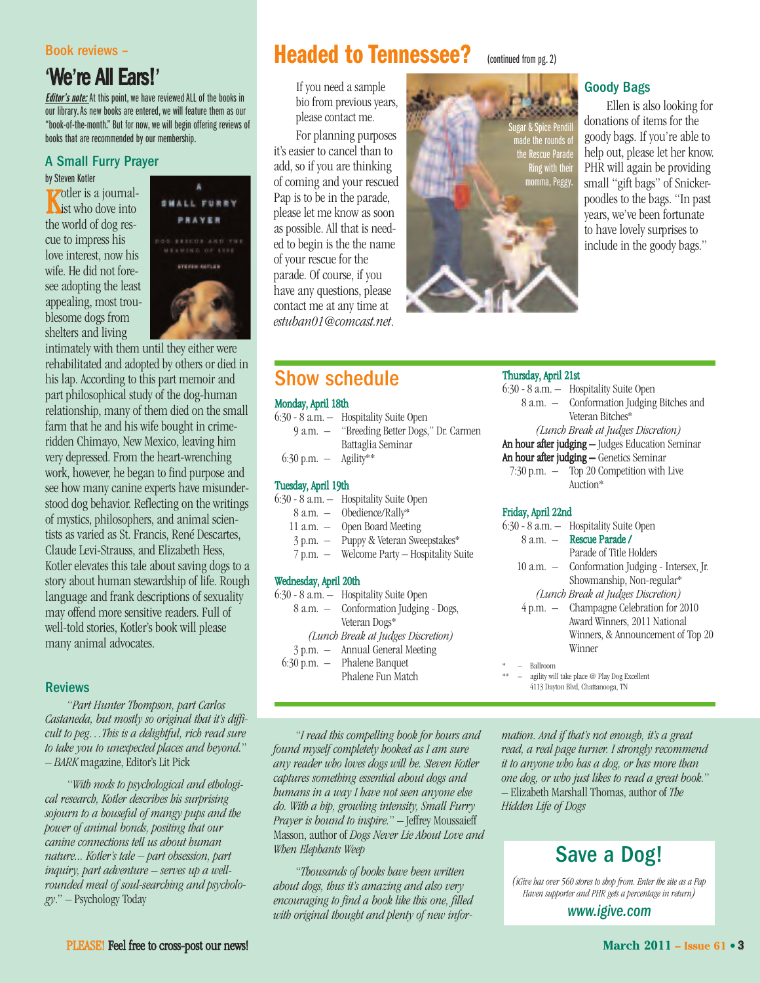#### Book reviews –

## 'We're All Ears!'

**Editor's note:** At this point, we have reviewed ALL of the books in our library. As new books are entered, we will feature them as our "book-of-the-month." But for now, we will begin offering reviews of books that are recommended by our membership.

#### A Small Furry Prayer

by Steven Kotler **K**otler is a journalthe world of dog rescue to impress his love interest, now his wife. He did not foresee adopting the least appealing, most troublesome dogs from shelters and living



intimately with them until they either were rehabilitated and adopted by others or died in his lap. According to this part memoir and part philosophical study of the dog-human relationship, many of them died on the small farm that he and his wife bought in crimeridden Chimayo, New Mexico, leaving him very depressed. From the heart-wrenching work, however, he began to find purpose and see how many canine experts have misunderstood dog behavior. Reflecting on the writings of mystics, philosophers, and animal scientists as varied as St. Francis, René Descartes, Claude Levi-Strauss, and Elizabeth Hess, Kotler elevates this tale about saving dogs to a story about human stewardship of life. Rough language and frank descriptions of sexuality may offend more sensitive readers. Full of well-told stories, Kotler's book will please many animal advocates.

#### Reviews

"*Part Hunter Thompson, part Carlos Castaneda, but mostly so original that it's difficult to peg…This is a delightful, rich read sure to take you to unexpected places and beyond.*" – *BARK* magazine, Editor's Lit Pick

"*With nods to psychological and ethological research, Kotler describes his surprising sojourn to a houseful of mangy pups and the power of animal bonds, positing that our canine connections tell us about human nature... Kotler's tale – part obsession, part inquiry, part adventure – serves up a wellrounded meal of soul-searching and psychology*." – Psychology Today

## **Headed to Tennessee?** (continued from pg. 2)

If you need a sample bio from previous years, please contact me.

For planning purposes it's easier to cancel than to add, so if you are thinking of coming and your rescued Pap is to be in the parade, please let me know as soon [as possible. All that is need](mailto:estuban01@comcast.net)ed to begin is the the name of your rescue for the parade. Of course, if you have any questions, please contact me at any time at *estuban01@comcast.net*.

Sugar & Spice Pendill ade the rounds of te Rescue Parade Ring with their momma, Peggy.

#### Goody Bags

Ellen is also looking for donations of items for the goody bags. If you're able to help out, please let her know. PHR will again be providing small "gift bags" of Snickerpoodles to the bags. "In past years, we've been fortunate to have lovely surprises to include in the goody bags."

## Show schedule

#### Monday, April 18th

|                                 | 6:30 - 8 a.m. — Hospitality Suite Open      |
|---------------------------------|---------------------------------------------|
|                                 | 9 a.m. - "Breeding Better Dogs," Dr. Carmen |
|                                 | Battaglia Seminar                           |
| $6:30 \text{ p.m.} -$ Agility** |                                             |

#### Tuesday,April 19th

| 6:30 - 8 a.m. | Hospitality Suite Open |
|---------------|------------------------|
|---------------|------------------------|

| - 8 a.m. | Obedience/Rally* |
|----------|------------------|
|----------|------------------|

- 11 a.m. Open Board Meeting
- 3 p.m. Puppy & Veteran Sweepstakes\*
- 7 p.m. Welcome Party Hospitality Suite

#### Wednesday, April 20th

6:30 - 8 a.m. – Hospitality Suite Open 8 a.m. – Conformation Judging - Dogs, Veteran Dogs\* *(Lunch Break at Judges Discretion)* Annual General Meeting 6:30 p.m. – Phalene Banquet Phalene Fun Match

#### Thursday,April 21st

| 6:30 - 8 a.m. - Hospitality Suite Open           |  |  |
|--------------------------------------------------|--|--|
| 8 a.m. - Conformation Judging Bitches and        |  |  |
| Veteran Bitches*                                 |  |  |
| (Lunch Break at Judges Discretion)               |  |  |
| An hour after judging - Judges Education Seminar |  |  |
| An hour after judging - Genetics Seminar         |  |  |
| $7:30$ p.m. $-$ Top 20 Competition with Live     |  |  |
| Auction*                                         |  |  |
|                                                  |  |  |

#### Friday, April 22nd

|          | 6:30 - 8 a.m. - Hospitality Suite Open         |
|----------|------------------------------------------------|
|          | 8 a.m. - Rescue Parade /                       |
|          | Parade of Title Holders                        |
|          | 10 a.m. — Conformation Judging - Intersex, Jr. |
|          | Showmanship, Non-regular*                      |
|          | (Lunch Break at Judges Discretion)             |
|          | 4 p.m. - Champagne Celebration for 2010        |
|          | Award Winners, 2011 National                   |
|          | Winners, & Announcement of Top 20              |
|          | Winner                                         |
| Ballroom |                                                |
|          | agility will take place @ Play Dog Excellent   |

4113 Dayton Blvd, Chattanooga, TN

"*I read this compelling book for hours and found myself completely hooked as I am sure any reader who loves dogs will be. Steven Kotler captures something essential about dogs and humans in a way I have not seen anyone else do. With a hip, growling intensity, Small Furry Prayer is bound to inspire.*" – Jeffrey Moussaieff Masson, author of *Dogs Never Lie About Love and When Elephants Weep*

"*Thousands of books have been written about dogs, thus it's amazing and also very encouraging to find a book like this one, filled with original thought and plenty of new infor-* *mation. And if that's not enough, it's a great read, a real page turner. I strongly recommend it to anyone who has a dog, or has more than one dog, or who just likes to read a great book.*" – Elizabeth Marshall Thomas, author of *The Hidden Life of Dogs*

## Save a Dog!

*(iGive has over 560 stores to shop from. Enter the site as a Pap Haven supporter and PHR gets a percentage in return)*

*[www.igive.com](http://www.igive.com)*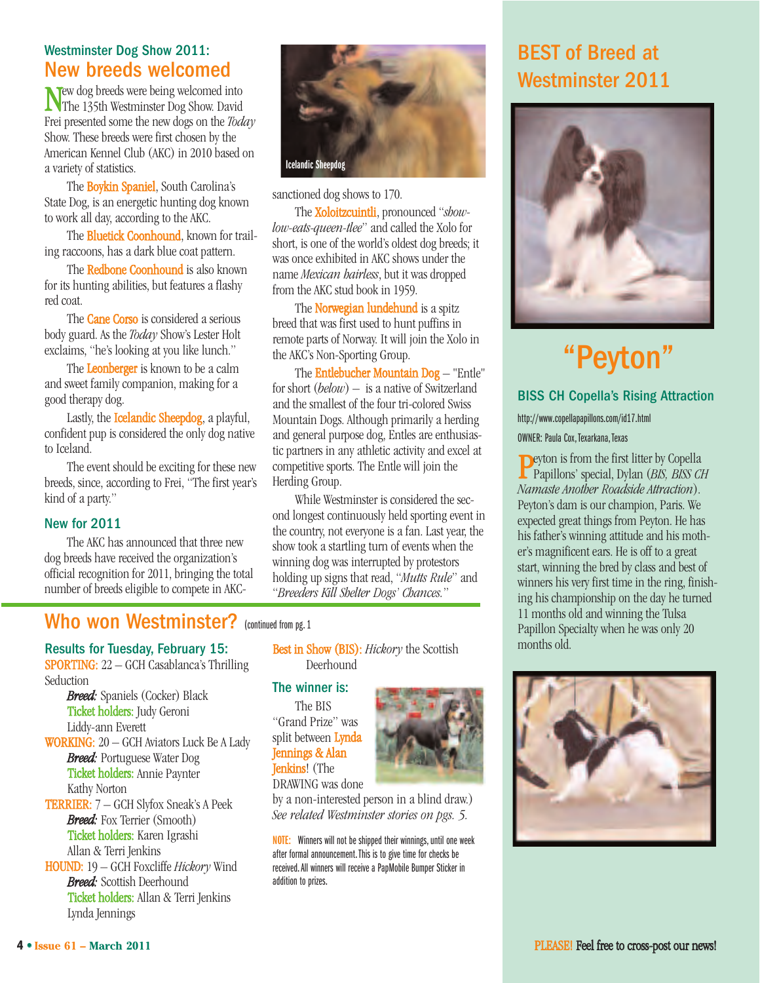#### Westminster Dog Show 2011: New breeds welcomed

New dog breeds were being welcomed into The 135th Westminster Dog Show. David Frei presented some the new dogs on the *Today* Show. These breeds were first chosen by the American Kennel Club (AKC) in 2010 based on a variety of statistics.

The Boykin Spaniel, South Carolina's State Dog, is an energetic hunting dog known to work all day, according to the AKC.

The **Bluetick Coonhound**, known for trailing raccoons, has a dark blue coat pattern.

The Redbone Coonhound is also known for its hunting abilities, but features a flashy red coat.

The **Cane Corso** is considered a serious body guard. As the *Today* Show's Lester Holt exclaims, "he's looking at you like lunch."

The Leonberger is known to be a calm and sweet family companion, making for a good therapy dog.

Lastly, the Icelandic Sheepdog, a playful, confident pup is considered the only dog native to Iceland.

The event should be exciting for these new breeds, since, according to Frei, "The first year's kind of a party."

#### New for 2011

The AKC has announced that three new dog breeds have received the organization's official recognition for 2011, bringing the total number of breeds eligible to compete in AKC-



sanctioned dog shows to 170.

The Xoloitzcuintli, pronounced "*showlow-eats-queen-tlee*" and called the Xolo for short, is one of the world's oldest dog breeds; it was once exhibited in AKC shows under the name *Mexican hairless*, but it was dropped from the AKC stud book in 1959.

The **Norwegian lundehund** is a spitz breed that was first used to hunt puffins in remote parts of Norway. It will join the Xolo in the AKC's Non-Sporting Group.

The Entlebucher Mountain Dog – "Entle" for short (*below*) – is a native of Switzerland and the smallest of the four tri-colored Swiss Mountain Dogs. Although primarily a herding and general purpose dog, Entles are enthusiastic partners in any athletic activity and excel at competitive sports. The Entle will join the Herding Group.

While Westminster is considered the second longest continuously held sporting event in the country, not everyone is a fan. Last year, the show took a startling turn of events when the winning dog was interrupted by protestors holding up signs that read, "*Mutts Rule*" and "*Breeders Kill Shelter Dogs' Chances.*"

## Who won Westminster? (continued from pg. 1

Results for Tuesday, February 15: SPORTING: 22 – GCH Casablanca's Thrilling Seduction

> *Breed:* Spaniels (Cocker) Black Ticket holders: Judy Geroni Liddy-ann Everett

WORKING: 20 – GCH Aviators Luck Be A Lady *Breed:* Portuguese Water Dog Ticket holders: Annie Paynter

Kathy Norton TERRIER: 7 – GCH Slyfox Sneak's A Peek *Breed:* Fox Terrier (Smooth) Ticket holders: Karen Igrashi Allan & Terri Jenkins

HOUND: 19 – GCH Foxcliffe *Hickory* Wind *Breed:* Scottish Deerhound Ticket holders: Allan & Terri Jenkins Lynda Jennings

Best in Show (BIS): *Hickory* the Scottish Deerhound

#### The winner is:

The BIS "Grand Prize" was split between Lynda Jennings & Alan **Jenkins!** (The DRAWING was done

by a non-interested person in a blind draw.) *See related Westminster stories on pgs. 5.*

**NOTE:** Winners will not be shipped their winnings, until one week after formal announcement. This is to give time for checks be received.All winners will receive a PapMobile Bumper Sticker in addition to prizes.

## BEST of Breed at Westminster 2011



# "Peyton"

#### [BISS CH Copella's Rising](http://www.copellapapillons.com/id17.html) Attraction

http://www.copellapapillons.com/id17.html

OWNER: Paula Cox, Texarkana, Texas

Peyton is from the first litter by Copella Papillons' special, Dylan (*BIS, BISS CH Namaste Another Roadside Attraction*). Peyton's dam is our champion, Paris. We expected great things from Peyton. He has his father's winning attitude and his mother's magnificent ears. He is off to a great start, winning the bred by class and best of winners his very first time in the ring, finishing his championship on the day he turned 11 months old and winning the Tulsa Papillon Specialty when he was only 20 months old.

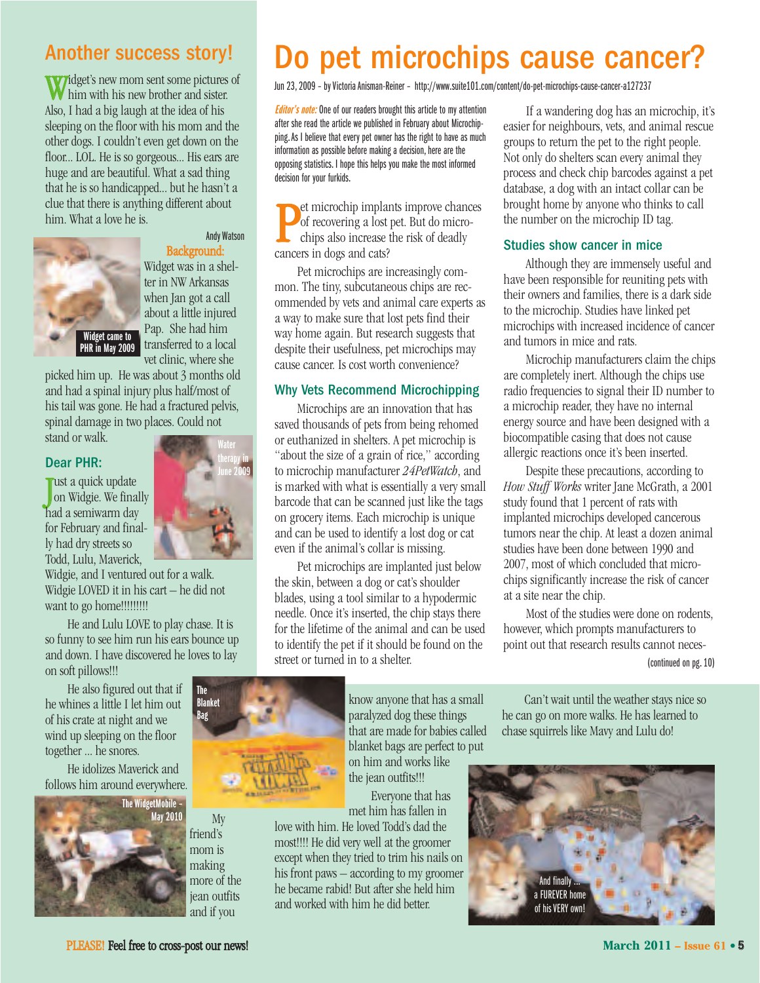## Another success story!

Widget's new mom sent some pictures of **W** him with his new brother and sister. Also, I had a big laugh at the idea of his sleeping on the floor with his mom and the other dogs. I couldn't even get down on the floor... LOL. He is so gorgeous... His ears are huge and are beautiful. What a sad thing that he is so handicapped... but he hasn't a clue that there is anything different about him. What a love he is.



#### Andy Watson Background:

Widget was in a shelter in NW Arkansas when Jan got a call about a little injured Pap. She had him transferred to a local vet clinic, where she

> **Water therapy in June 2009**

picked him up. He was about 3 months old and had a spinal injury plus half/most of his tail was gone. He had a fractured pelvis, spinal damage in two places. Could not

stand or walk.

#### Dear PHR:

J ust a quick update on Widgie. We finally had a semiwarm day for February and finally had dry streets so Todd, Lulu, Maverick,

Widgie, and I ventured out for a walk. Widgie LOVED it in his cart – he did not want to go home!!!!!!!!!!

He and Lulu LOVE to play chase. It is so funny to see him run his ears bounce up and down. I have discovered he loves to lay on soft pillows!!!

He also figured out that if he whines a little I let him out of his crate at night and we wind up sleeping on the floor together ... he snores.

He idolizes Maverick and follows him around everywhere.



My friend's mom is making more of the jean outfits

## Do pet microchips cause cancer?

Jun 23, 2009 – by Victoria Anisman-Reiner –<http://www.suite101.com/content/do-pet-microchips-cause-cancer-a127237>

**Editor's note:** One of our readers brought this article to my attention after she read the article we published in February about Microchipping. As I believe that every pet owner has the right to have as much information as possible before making a decision, here are the opposing statistics. I hope this helps you make the most informed decision for your furkids.

**P**et microchip impland of recovering a lost chips also increase in dogs and cats? et microchip implants improve chances of recovering a lost pet. But do microchips also increase the risk of deadly

Pet microchips are increasingly common. The tiny, subcutaneous chips are recommended by vets and animal care experts as a way to make sure that lost pets find their way home again. But research suggests that despite their usefulness, pet microchips may cause cancer. Is cost worth convenience?

#### Why Vets Recommend Microchipping

Microchips are an innovation that has saved thousands of pets from being rehomed or euthanized in shelters. A pet microchip is "about the size of a grain of rice," according to microchip manufacturer *24PetWatch*, and is marked with what is essentially a very small barcode that can be scanned just like the tags on grocery items. Each microchip is unique and can be used to identify a lost dog or cat even if the animal's collar is missing.

Pet microchips are implanted just below the skin, between a dog or cat's shoulder blades, using a tool similar to a hypodermic needle. Once it's inserted, the chip stays there for the lifetime of the animal and can be used to identify the pet if it should be found on the street or turned in to a shelter.

If a wandering dog has an microchip, it's easier for neighbours, vets, and animal rescue groups to return the pet to the right people. Not only do shelters scan every animal they process and check chip barcodes against a pet database, a dog with an intact collar can be brought home by anyone who thinks to call the number on the microchip ID tag.

#### Studies show cancer in mice

Although they are immensely useful and have been responsible for reuniting pets with their owners and families, there is a dark side to the microchip. Studies have linked pet microchips with increased incidence of cancer and tumors in mice and rats.

Microchip manufacturers claim the chips are completely inert. Although the chips use radio frequencies to signal their ID number to a microchip reader, they have no internal energy source and have been designed with a biocompatible casing that does not cause allergic reactions once it's been inserted.

Despite these precautions, according to *How Stuff Works* writer Jane McGrath, a 2001 study found that 1 percent of rats with implanted microchips developed cancerous tumors near the chip. At least a dozen animal studies have been done between 1990 and 2007, most of which concluded that microchips significantly increase the risk of cancer at a site near the chip.

Most of the studies were done on rodents, however, which prompts manufacturers to point out that research results cannot neces-(continued on pg. 10)



and if you

know anyone that has a small paralyzed dog these things that are made for babies called blanket bags are perfect to put on him and works like

the jean outfits!!! Everyone that has met him has fallen in

love with him. He loved Todd's dad the most!!!! He did very well at the groomer except when they tried to trim his nails on his front paws – according to my groomer he became rabid! But after she held him and worked with him he did better.

Can't wait until the weather stays nice so he can go on more walks. He has learned to chase squirrels like Mavy and Lulu do!

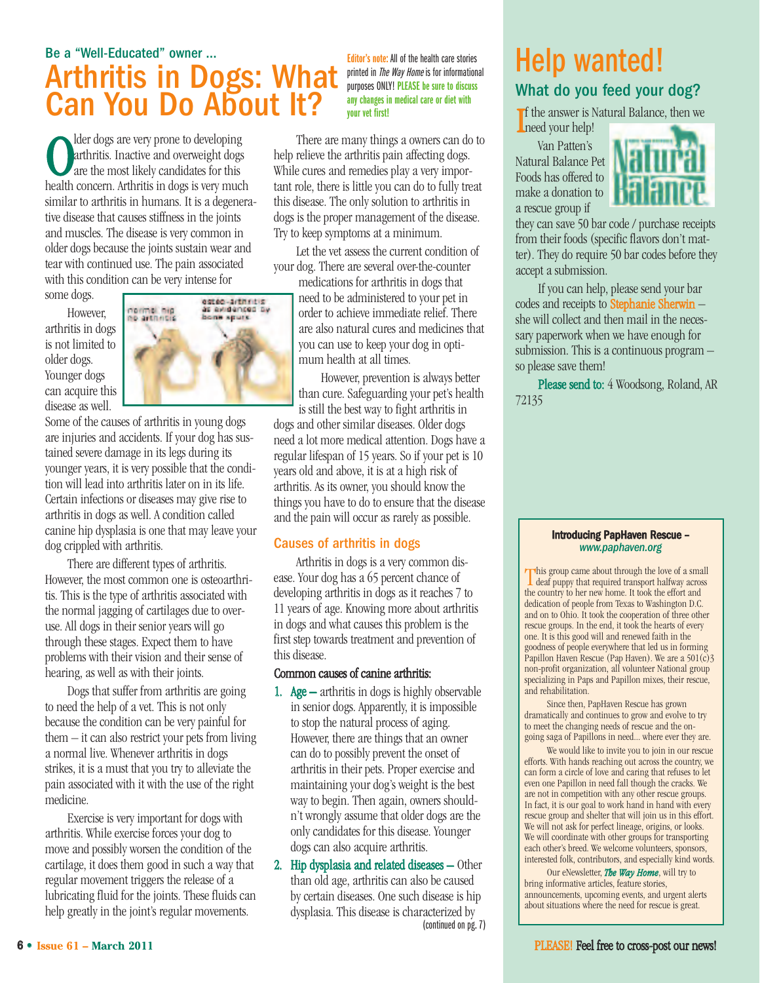## Be a "Well-Educated" owner ... Arthritis in Dogs: What Can You Do About It?

**C** lder dogs are very prone to developing<br>arthritis. Inactive and overweight dogs<br>health concern. Arthritis in dogs is very much lder dogs are very prone to developing arthritis. Inactive and overweight dogs are the most likely candidates for this similar to arthritis in humans. It is a degenerative disease that causes stiffness in the joints and muscles. The disease is very common in older dogs because the joints sustain wear and tear with continued use. The pain associated with this condition can be very intense for

some dogs.

However, arthritis in dogs is not limited to older dogs. Younger dogs can acquire this disease as well.



Some of the causes of arthritis in young dogs are injuries and accidents. If your dog has sustained severe damage in its legs during its younger years, it is very possible that the condition will lead into arthritis later on in its life. Certain infections or diseases may give rise to arthritis in dogs as well. A condition called canine hip dysplasia is one that may leave your dog crippled with arthritis.

There are different types of arthritis. However, the most common one is osteoarthritis. This is the type of arthritis associated with the normal jagging of cartilages due to overuse. All dogs in their senior years will go through these stages. Expect them to have problems with their vision and their sense of hearing, as well as with their joints.

Dogs that suffer from arthritis are going to need the help of a vet. This is not only because the condition can be very painful for them – it can also restrict your pets from living a normal live. Whenever arthritis in dogs strikes, it is a must that you try to alleviate the pain associated with it with the use of the right medicine.

Exercise is very important for dogs with arthritis. While exercise forces your dog to move and possibly worsen the condition of the cartilage, it does them good in such a way that regular movement triggers the release of a lubricating fluid for the joints. These fluids can help greatly in the joint's regular movements.

**Editor's note:** All of the health care stories printed in *The Way Home* is for informational purposes ONLY! **PLEASE be sure to discuss any changes in medical care or diet with your vet first!**

There are many things a owners can do to help relieve the arthritis pain affecting dogs. While cures and remedies play a very important role, there is little you can do to fully treat this disease. The only solution to arthritis in dogs is the proper management of the disease. Try to keep symptoms at a minimum.

Let the vet assess the current condition of your dog. There are several over-the-counter

> medications for arthritis in dogs that need to be administered to your pet in order to achieve immediate relief. There are also natural cures and medicines that you can use to keep your dog in optimum health at all times.

However, prevention is always better than cure. Safeguarding your pet's health is still the best way to fight arthritis in

dogs and other similar diseases. Older dogs need a lot more medical attention. Dogs have a regular lifespan of 15 years. So if your pet is 10 years old and above, it is at a high risk of arthritis. As its owner, you should know the things you have to do to ensure that the disease and the pain will occur as rarely as possible.

#### Causes of arthritis in dogs

Arthritis in dogs is a very common disease. Your dog has a 65 percent chance of developing arthritis in dogs as it reaches 7 to 11 years of age. Knowing more about arthritis in dogs and what causes this problem is the first step towards treatment and prevention of this disease.

#### Common causes of canine arthritis:

- 1. Age  $-$  arthritis in dogs is highly observable in senior dogs. Apparently, it is impossible to stop the natural process of aging. However, there are things that an owner can do to possibly prevent the onset of arthritis in their pets. Proper exercise and maintaining your dog's weight is the best way to begin. Then again, owners shouldn't wrongly assume that older dogs are the only candidates for this disease. Younger dogs can also acquire arthritis.
- 2. Hip dysplasia and related diseases Other than old age, arthritis can also be caused by certain diseases. One such disease is hip dysplasia. This disease is characterized by (continued on pg.7)

## Help wanted! What do you feed your dog?

I f the answer is Natural Balance, then we need your help!

Van Patten's Natural Balance Pet Foods has offered to make a donation to a rescue group if



they can save 50 bar code / purchase receipts from their foods (specific flavors don't matter). They do require 50 bar codes before they accept a submission.

If you can help, please send your bar codes and receipts to Stephanie Sherwin – she will collect and then mail in the necessary paperwork when we have enough for submission. This is a continuous program – so please save them!

Please send to: 4 Woodsong, Roland, AR 72135

#### Introducing PapHaven Rescue – *[www.paphaven.org](http://www.paphaven.org)*

This group came about through the love of a small deaf puppy that required transport halfway across the country to her new home. It took the effort and dedication of people from Texas to Washington D.C. and on to Ohio. It took the cooperation of three other rescue groups. In the end, it took the hearts of every one. It is this good will and renewed faith in the goodness of people everywhere that led us in forming Papillon Haven Rescue (Pap Haven). We are a  $501(\overline{c})3$ non-profit organization, all volunteer National group specializing in Paps and Papillon mixes, their rescue, and rehabilitation.

Since then, PapHaven Rescue has grown dramatically and continues to grow and evolve to try to meet the changing needs of rescue and the ongoing saga of Papillons in need... where ever they are.

We would like to invite you to join in our rescue efforts. With hands reaching out across the country, we can form a circle of love and caring that refuses to let even one Papillon in need fall though the cracks. We are not in competition with any other rescue groups. In fact, it is our goal to work hand in hand with every rescue group and shelter that will join us in this effort. We will not ask for perfect lineage, origins, or looks. We will coordinate with other groups for transporting each other's breed. We welcome volunteers, sponsors, interested folk, contributors, and especially kind words.

Our eNewsletter, *The Way Home*, will try to bring informative articles, feature stories, announcements, upcoming events, and urgent alerts about situations where the need for rescue is great.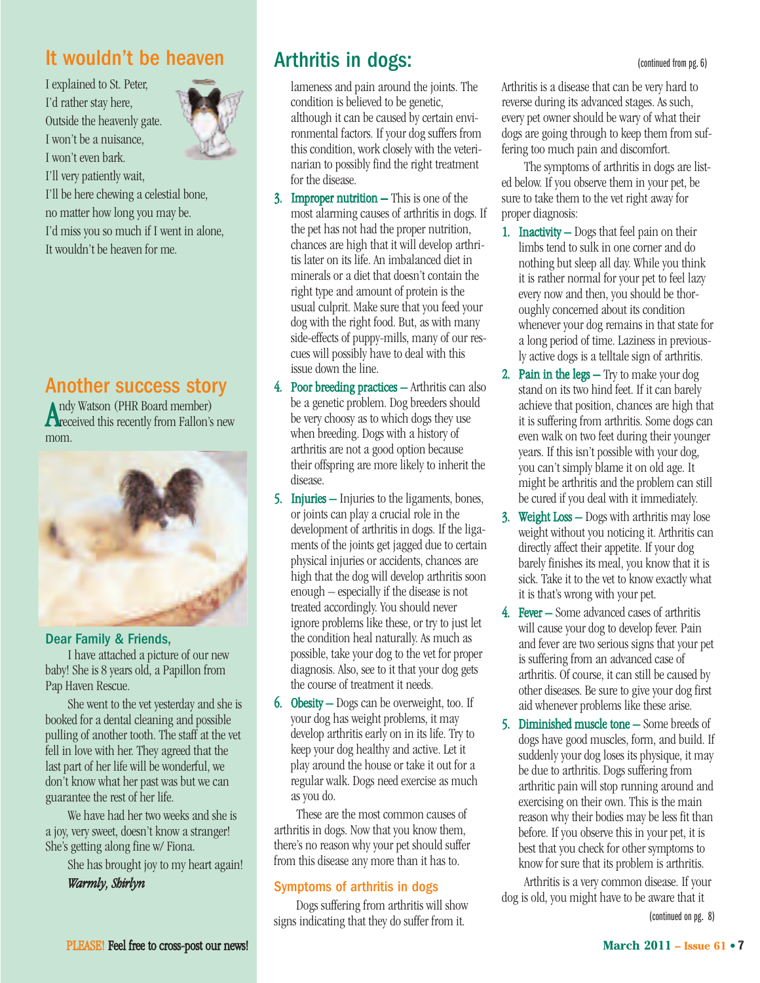## It wouldn't be heaven

I explained to St. Peter, I'd rather stay here, Outside the heavenly gate. I won't be a nuisance, I won't even bark. I'll very patiently wait,



I'll be here chewing a celestial bone, no matter how long you may be. I'd miss you so much if I went in alone, It wouldn't be heaven for me.

## Another success story

Andy Watson (PHR Board member)<br>Areceived this recently from Fallon's new ndy Watson (PHR Board member) mom.



#### Dear Family & Friends,

I have attached a picture of our new baby! She is 8 years old, a Papillon from Pap Haven Rescue.

She went to the vet yesterday and she is booked for a dental cleaning and possible pulling of another tooth. The staff at the vet fell in love with her. They agreed that the last part of her life will be wonderful, we don't know what her past was but we can guarantee the rest of her life.

We have had her two weeks and she is a joy, very sweet, doesn't know a stranger! She's getting along fine w/ Fiona.

She has brought joy to my heart again!

*Warmly, Shirlyn*

## Arthritis in dogs: (continued from pg. 6)

lameness and pain around the joints. The condition is believed to be genetic, although it can be caused by certain environmental factors. If your dog suffers from this condition, work closely with the veterinarian to possibly find the right treatment for the disease.

- 3. Improper nutrition This is one of the most alarming causes of arthritis in dogs. If the pet has not had the proper nutrition, chances are high that it will develop arthritis later on its life. An imbalanced diet in minerals or a diet that doesn't contain the right type and amount of protein is the usual culprit. Make sure that you feed your dog with the right food. But, as with many side-effects of puppy-mills, many of our rescues will possibly have to deal with this issue down the line.
- 4. Poor breeding practices Arthritis can also be a genetic problem. Dog breeders should be very choosy as to which dogs they use when breeding. Dogs with a history of arthritis are not a good option because their offspring are more likely to inherit the disease.
- 5. Injuries Injuries to the ligaments, bones, or joints can play a crucial role in the development of arthritis in dogs. If the ligaments of the joints get jagged due to certain physical injuries or accidents, chances are high that the dog will develop arthritis soon enough – especially if the disease is not treated accordingly. You should never ignore problems like these, or try to just let the condition heal naturally. As much as possible, take your dog to the vet for proper diagnosis. Also, see to it that your dog gets the course of treatment it needs.
- 6. Obesity Dogs can be overweight, too. If your dog has weight problems, it may develop arthritis early on in its life. Try to keep your dog healthy and active. Let it play around the house or take it out for a regular walk. Dogs need exercise as much as you do.

These are the most common causes of arthritis in dogs. Now that you know them, there's no reason why your pet should suffer from this disease any more than it has to.

#### Symptoms of arthritis in dogs

Dogs suffering from arthritis will show signs indicating that they do suffer from it.

Arthritis is a disease that can be very hard to reverse during its advanced stages. As such, every pet owner should be wary of what their dogs are going through to keep them from suffering too much pain and discomfort.

The symptoms of arthritis in dogs are listed below. If you observe them in your pet, be sure to take them to the vet right away for proper diagnosis:

- 1. Inactivity Dogs that feel pain on their limbs tend to sulk in one corner and do nothing but sleep all day. While you think it is rather normal for your pet to feel lazy every now and then, you should be thoroughly concerned about its condition whenever your dog remains in that state for a long period of time. Laziness in previously active dogs is a telltale sign of arthritis.
- 2. Pain in the legs Try to make your dog stand on its two hind feet. If it can barely achieve that position, chances are high that it is suffering from arthritis. Some dogs can even walk on two feet during their younger years. If this isn't possible with your dog, you can't simply blame it on old age. It might be arthritis and the problem can still be cured if you deal with it immediately.
- 3. Weight Loss Dogs with arthritis may lose weight without you noticing it. Arthritis can directly affect their appetite. If your dog barely finishes its meal, you know that it is sick. Take it to the vet to know exactly what it is that's wrong with your pet.
- 4. Fever Some advanced cases of arthritis will cause your dog to develop fever. Pain and fever are two serious signs that your pet is suffering from an advanced case of arthritis. Of course, it can still be caused by other diseases. Be sure to give your dog first aid whenever problems like these arise.
- 5. Diminished muscle tone Some breeds of dogs have good muscles, form, and build. If suddenly your dog loses its physique, it may be due to arthritis. Dogs suffering from arthritic pain will stop running around and exercising on their own. This is the main reason why their bodies may be less fit than before. If you observe this in your pet, it is best that you check for other symptoms to know for sure that its problem is arthritis.

Arthritis is a very common disease. If your dog is old, you might have to be aware that it

(continued on pg. 8)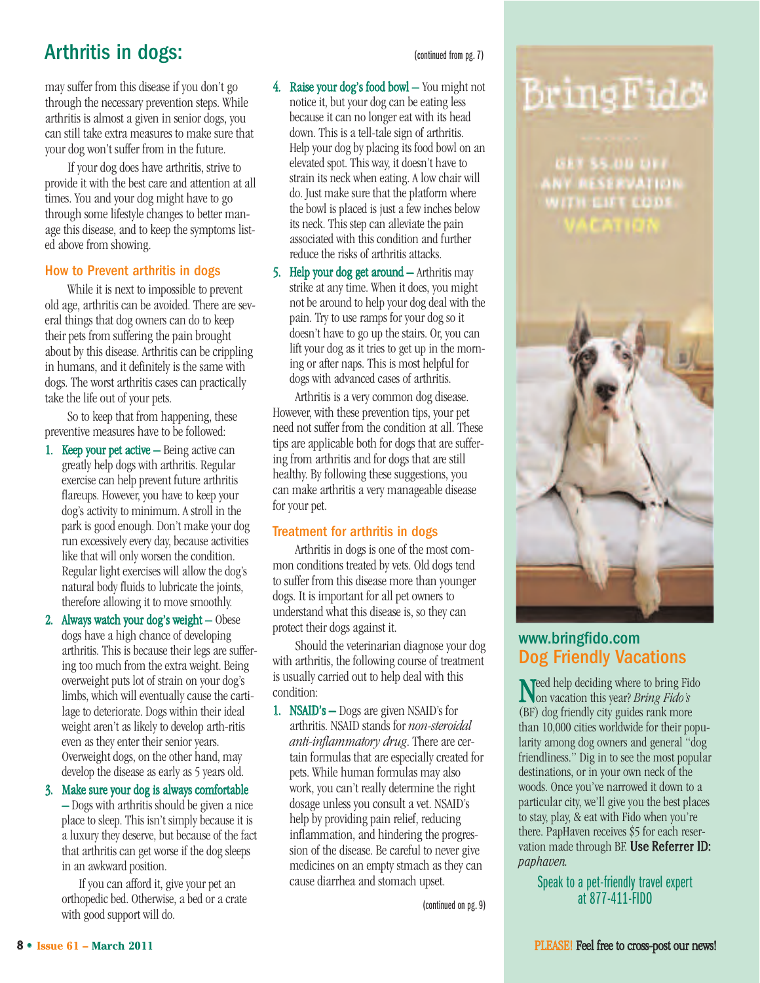## Arthritis in dogs: (continued from pg. 7)

may suffer from this disease if you don't go through the necessary prevention steps. While arthritis is almost a given in senior dogs, you can still take extra measures to make sure that your dog won't suffer from in the future.

If your dog does have arthritis, strive to provide it with the best care and attention at all times. You and your dog might have to go through some lifestyle changes to better manage this disease, and to keep the symptoms listed above from showing.

#### How to Prevent arthritis in dogs

While it is next to impossible to prevent old age, arthritis can be avoided. There are several things that dog owners can do to keep their pets from suffering the pain brought about by this disease. Arthritis can be crippling in humans, and it definitely is the same with dogs. The worst arthritis cases can practically take the life out of your pets.

So to keep that from happening, these preventive measures have to be followed:

- 1. Keep your pet active Being active can greatly help dogs with arthritis. Regular exercise can help prevent future arthritis flareups. However, you have to keep your dog's activity to minimum. A stroll in the park is good enough. Don't make your dog run excessively every day, because activities like that will only worsen the condition. Regular light exercises will allow the dog's natural body fluids to lubricate the joints, therefore allowing it to move smoothly.
- 2. Always watch your dog's weight Obese dogs have a high chance of developing arthritis. This is because their legs are suffering too much from the extra weight. Being overweight puts lot of strain on your dog's limbs, which will eventually cause the cartilage to deteriorate. Dogs within their ideal weight aren't as likely to develop arth-ritis even as they enter their senior years. Overweight dogs, on the other hand, may develop the disease as early as 5 years old.

3. Make sure your dog is always comfortable – Dogs with arthritis should be given a nice place to sleep. This isn't simply because it is

a luxury they deserve, but because of the fact that arthritis can get worse if the dog sleeps in an awkward position. If you can afford it, give your pet an

orthopedic bed. Otherwise, a bed or a crate with good support will do.

- 4. Raise your dog's food bowl You might not notice it, but your dog can be eating less because it can no longer eat with its head down. This is a tell-tale sign of arthritis. Help your dog by placing its food bowl on an elevated spot. This way, it doesn't have to strain its neck when eating. A low chair will do. Just make sure that the platform where the bowl is placed is just a few inches below its neck. This step can alleviate the pain associated with this condition and further reduce the risks of arthritis attacks.
- 5. Help your dog get around Arthritis may strike at any time. When it does, you might not be around to help your dog deal with the pain. Try to use ramps for your dog so it doesn't have to go up the stairs. Or, you can lift your dog as it tries to get up in the morning or after naps. This is most helpful for dogs with advanced cases of arthritis.

Arthritis is a very common dog disease. However, with these prevention tips, your pet need not suffer from the condition at all. These tips are applicable both for dogs that are suffering from arthritis and for dogs that are still healthy. By following these suggestions, you can make arthritis a very manageable disease for your pet.

#### Treatment for arthritis in dogs

Arthritis in dogs is one of the most common conditions treated by vets. Old dogs tend to suffer from this disease more than younger dogs. It is important for all pet owners to understand what this disease is, so they can protect their dogs against it.

Should the veterinarian diagnose your dog with arthritis, the following course of treatment is usually carried out to help deal with this condition:

1. NSAID's – Dogs are given NSAID's for arthritis. NSAID stands for *non-steroidal anti-inflammatory drug*. There are certain formulas that are especially created for pets. While human formulas may also work, you can't really determine the right dosage unless you consult a vet. NSAID's help by providing pain relief, reducing inflammation, and hindering the progression of the disease. Be careful to never give medicines on an empty stmach as they can cause diarrhea and stomach upset.

(continued on pg. 9)



**GET 55.00 OFF. NY RESERVATION WITH EST CODS ACAID** 



### [www.bringfido.com](http://www.bringfido.com) Dog Friendly Vacations

Need help deciding where to bring Fido on vacation this year? *Bring Fido's* (BF) dog friendly city guides rank more than 10,000 cities worldwide for their popularity among dog owners and general "dog friendliness." Dig in to see the most popular destinations, or in your own neck of the woods. Once you've narrowed it down to a particular city, we'll give you the best places to stay, play, & eat with Fido when you're there. PapHaven receives \$5 for each reservation made through BF. Use Referrer ID: *paphaven.*

Speak to a pet-friendly travel expert at 877-411-FIDO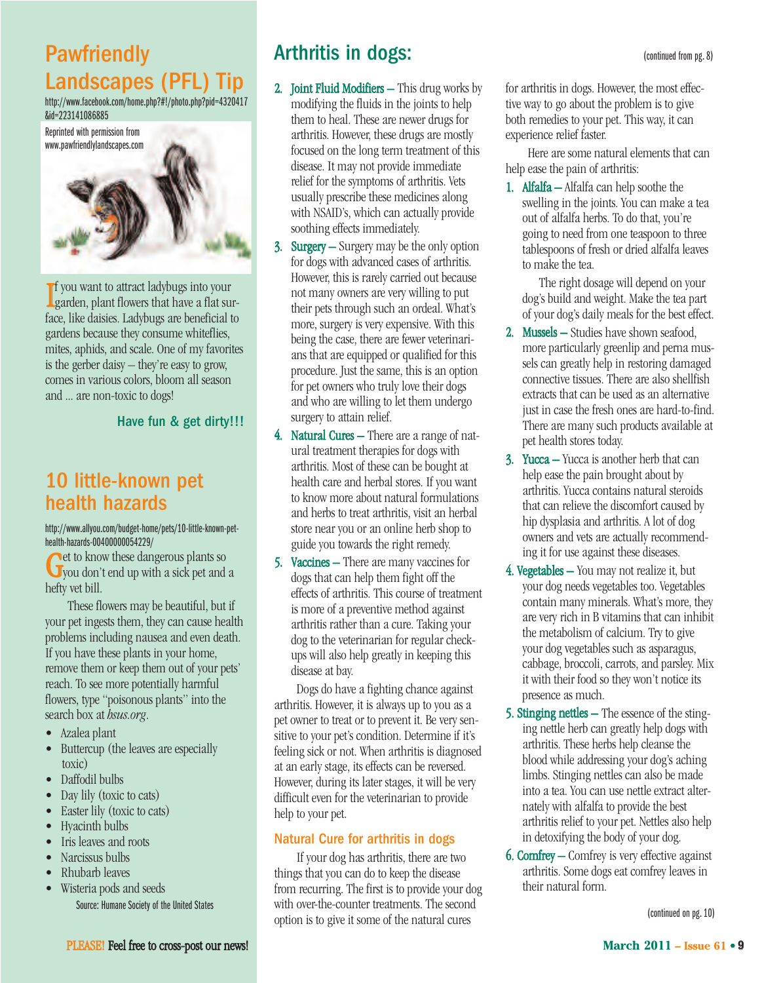## **Pawfriendly** Landscapes (PFL) Tip

[http://www.facebook.com/home.php?#!/photo.php?pid=4320417](http://www.facebook.com/home.php?#!/photo.php?pid=4320417&id=223141086885) &id=223141086885



I garden, plant flowers that have a flat surf you want to attract ladybugs into your face, like daisies. Ladybugs are beneficial to gardens because they consume whiteflies, mites, aphids, and scale. One of my favorites is the gerber daisy – they're easy to grow, comes in various colors, bloom all season and ... are non-toxic to dogs!

#### Have fun & get dirty!!!

## 10 little-known pet health hazards

[http://www.allyou.com/budget-home/pets/10-little-known-pet](http://www.allyou.com/budget-home/pets/10-little-known-pet-health-hazards-00400000054229/)health-hazards-00400000054229/

Get to know these dangerous plants so you don't end up with a sick pet and a hefty vet bill.

These flowers may be beautiful, but if your pet ingests them, they can cause health problems including nausea and even death. If you have these plants in your home, remove them or keep them out of your pets' reach. To see more potentially harmful flowers, type "poisonous plants" into the search box at *hsus.org*.

- Azalea plant
- Buttercup (the leaves are especially toxic)
- Daffodil bulbs
- Day lily (toxic to cats)
- Easter lily (toxic to cats)
- Hyacinth bulbs
- Iris leaves and roots
- Narcissus bulbs
- Rhubarb leaves
- Wisteria pods and seeds Source: Humane Society of the United States

Arthritis in dogs: (continued from pg. 8)

- 2. Joint Fluid Modifiers This drug works by modifying the fluids in the joints to help them to heal. These are newer drugs for arthritis. However, these drugs are mostly focused on the long term treatment of this disease. It may not provide immediate relief for the symptoms of arthritis. Vets usually prescribe these medicines along with NSAID's, which can actually provide soothing effects immediately.
- 3. Surgery Surgery may be the only option for dogs with advanced cases of arthritis. However, this is rarely carried out because not many owners are very willing to put their pets through such an ordeal. What's more, surgery is very expensive. With this being the case, there are fewer veterinarians that are equipped or qualified for this procedure. Just the same, this is an option for pet owners who truly love their dogs and who are willing to let them undergo surgery to attain relief.
- 4. Natural Cures There are a range of natural treatment therapies for dogs with arthritis. Most of these can be bought at health care and herbal stores. If you want to know more about natural formulations and herbs to treat arthritis, visit an herbal store near you or an online herb shop to guide you towards the right remedy.
- 5. Vaccines There are many vaccines for dogs that can help them fight off the effects of arthritis. This course of treatment is more of a preventive method against arthritis rather than a cure. Taking your dog to the veterinarian for regular checkups will also help greatly in keeping this disease at bay.

Dogs do have a fighting chance against arthritis. However, it is always up to you as a pet owner to treat or to prevent it. Be very sensitive to your pet's condition. Determine if it's feeling sick or not. When arthritis is diagnosed at an early stage, its effects can be reversed. However, during its later stages, it will be very difficult even for the veterinarian to provide help to your pet.

#### Natural Cure for arthritis in dogs

If your dog has arthritis, there are two things that you can do to keep the disease from recurring. The first is to provide your dog with over-the-counter treatments. The second option is to give it some of the natural cures

for arthritis in dogs. However, the most effective way to go about the problem is to give both remedies to your pet. This way, it can experience relief faster.

Here are some natural elements that can help ease the pain of arthritis:

1. Alfalfa – Alfalfa can help soothe the swelling in the joints. You can make a tea out of alfalfa herbs. To do that, you're going to need from one teaspoon to three tablespoons of fresh or dried alfalfa leaves to make the tea.

The right dosage will depend on your dog's build and weight. Make the tea part of your dog's daily meals for the best effect.

- 2. Mussels Studies have shown seafood, more particularly greenlip and perna mussels can greatly help in restoring damaged connective tissues. There are also shellfish extracts that can be used as an alternative just in case the fresh ones are hard-to-find. There are many such products available at pet health stores today.
- 3. Yucca Yucca is another herb that can help ease the pain brought about by arthritis. Yucca contains natural steroids that can relieve the discomfort caused by hip dysplasia and arthritis. A lot of dog owners and vets are actually recommending it for use against these diseases.
- 4. Vegetables You may not realize it, but your dog needs vegetables too. Vegetables contain many minerals. What's more, they are very rich in B vitamins that can inhibit the metabolism of calcium. Try to give your dog vegetables such as asparagus, cabbage, broccoli, carrots, and parsley. Mix it with their food so they won't notice its presence as much.
- 5. Stinging nettles The essence of the stinging nettle herb can greatly help dogs with arthritis. These herbs help cleanse the blood while addressing your dog's aching limbs. Stinging nettles can also be made into a tea. You can use nettle extract alternately with alfalfa to provide the best arthritis relief to your pet. Nettles also help in detoxifying the body of your dog.
- 6. Comfrey Comfrey is very effective against arthritis. Some dogs eat comfrey leaves in their natural form.

(continued on pg. 10)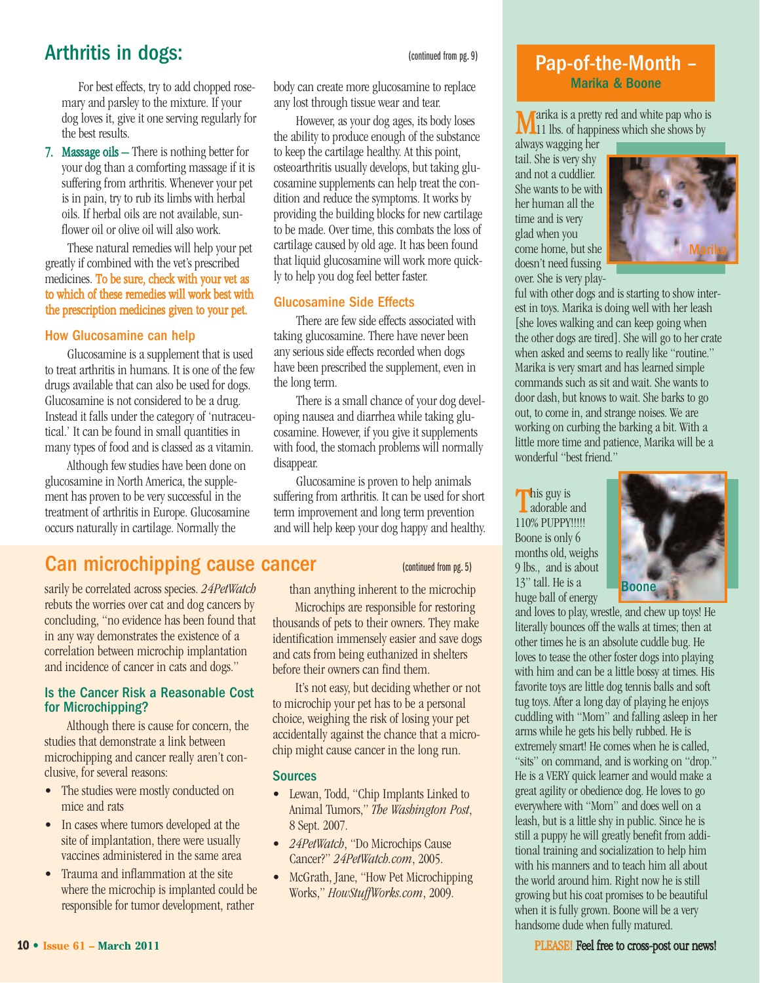## Arthritis in dogs:  $\frac{1}{2}$  (continued from pg. 9)

For best effects, try to add chopped rosemary and parsley to the mixture. If your dog loves it, give it one serving regularly for the best results.

7. Massage oils – There is nothing better for your dog than a comforting massage if it is suffering from arthritis. Whenever your pet is in pain, try to rub its limbs with herbal oils. If herbal oils are not available, sunflower oil or olive oil will also work.

These natural remedies will help your pet greatly if combined with the vet's prescribed medicines. To be sure, check with your vet as to which of these remedies will work best with the prescription medicines given to your pet.

#### How Glucosamine can help

Glucosamine is a supplement that is used to treat arthritis in humans. It is one of the few drugs available that can also be used for dogs. Glucosamine is not considered to be a drug. Instead it falls under the category of 'nutraceutical.' It can be found in small quantities in many types of food and is classed as a vitamin.

Although few studies have been done on glucosamine in North America, the supplement has proven to be very successful in the treatment of arthritis in Europe. Glucosamine occurs naturally in cartilage. Normally the

body can create more glucosamine to replace any lost through tissue wear and tear.

However, as your dog ages, its body loses the ability to produce enough of the substance to keep the cartilage healthy. At this point, osteoarthritis usually develops, but taking glucosamine supplements can help treat the condition and reduce the symptoms. It works by providing the building blocks for new cartilage to be made. Over time, this combats the loss of cartilage caused by old age. It has been found that liquid glucosamine will work more quickly to help you dog feel better faster.

#### Glucosamine Side Effects

There are few side effects associated with taking glucosamine. There have never been any serious side effects recorded when dogs have been prescribed the supplement, even in the long term.

There is a small chance of your dog developing nausea and diarrhea while taking glucosamine. However, if you give it supplements with food, the stomach problems will normally disappear.

Glucosamine is proven to help animals suffering from arthritis. It can be used for short term improvement and long term prevention and will help keep your dog happy and healthy.

## Can microchipping cause cancer (continued from pg. 5)

sarily be correlated across species. *24PetWatch* rebuts the worries over cat and dog cancers by concluding, "no evidence has been found that in any way demonstrates the existence of a correlation between microchip implantation and incidence of cancer in cats and dogs."

#### Is the Cancer Risk a Reasonable Cost for Microchipping?

Although there is cause for concern, the studies that demonstrate a link between microchipping and cancer really aren't conclusive, for several reasons:

- The studies were mostly conducted on mice and rats
- In cases where tumors developed at the site of implantation, there were usually vaccines administered in the same area
- Trauma and inflammation at the site where the microchip is implanted could be responsible for tumor development, rather

than anything inherent to the microchip

Microchips are responsible for restoring thousands of pets to their owners. They make identification immensely easier and save dogs and cats from being euthanized in shelters before their owners can find them.

It's not easy, but deciding whether or not to microchip your pet has to be a personal choice, weighing the risk of losing your pet accidentally against the chance that a microchip might cause cancer in the long run.

#### **Sources**

- Lewan, Todd, "Chip Implants Linked to Animal Tumors," *The Washington Post*, 8 Sept. 2007.
- *24PetWatch*, "Do Microchips Cause Cancer?" *24PetWatch.com*, 2005.
- McGrath, Jane, "How Pet Microchipping Works," *HowStuffWorks.com*, 2009.

### Pap-of-the-Month – Marika & Boone

Marika is a pretty red and white pap who is 11 lbs. of happiness which she shows by

always wagging her tail. She is very shy and not a cuddlier. She wants to be with her human all the time and is very glad when you come home, but she doesn't need fussing over. She is very play-



ful with other dogs and is starting to show interest in toys. Marika is doing well with her leash [she loves walking and can keep going when the other dogs are tired]. She will go to her crate when asked and seems to really like "routine." Marika is very smart and has learned simple commands such as sit and wait. She wants to door dash, but knows to wait. She barks to go out, to come in, and strange noises. We are working on curbing the barking a bit. With a little more time and patience, Marika will be a wonderful "best friend."

This guy is adorable and 110% PUPPY!!!!! Boone is only 6 months old, weighs 9 lbs., and is about 13" tall. He is a huge ball of energy



and loves to play, wrestle, and chew up toys! He literally bounces off the walls at times; then at other times he is an absolute cuddle bug. He loves to tease the other foster dogs into playing with him and can be a little bossy at times. His favorite toys are little dog tennis balls and soft tug toys. After a long day of playing he enjoys cuddling with "Mom" and falling asleep in her arms while he gets his belly rubbed. He is extremely smart! He comes when he is called, "sits" on command, and is working on "drop." He is a VERY quick learner and would make a great agility or obedience dog. He loves to go everywhere with "Mom" and does well on a leash, but is a little shy in public. Since he is still a puppy he will greatly benefit from additional training and socialization to help him with his manners and to teach him all about the world around him. Right now he is still growing but his coat promises to be beautiful when it is fully grown. Boone will be a very handsome dude when fully matured.